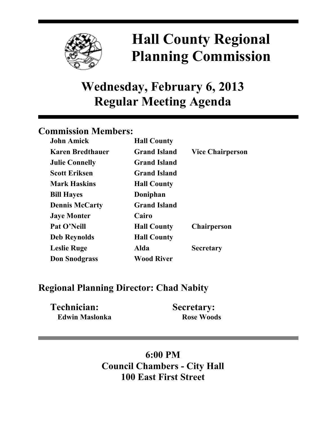

# **Hall County Regional Planning Commission**

## **Wednesday, February 6, 2013 Regular Meeting Agenda**

### **Commission Members:**

| <b>John Amick</b>       | <b>Hall County</b>  |                         |
|-------------------------|---------------------|-------------------------|
| <b>Karen Bredthauer</b> | <b>Grand Island</b> | <b>Vice Chairperson</b> |
| <b>Julie Connelly</b>   | <b>Grand Island</b> |                         |
| <b>Scott Eriksen</b>    | <b>Grand Island</b> |                         |
| <b>Mark Haskins</b>     | <b>Hall County</b>  |                         |
| <b>Bill Hayes</b>       | Doniphan            |                         |
| <b>Dennis McCarty</b>   | <b>Grand Island</b> |                         |
| <b>Jaye Monter</b>      | Cairo               |                         |
| Pat O'Neill             | <b>Hall County</b>  | <b>Chairperson</b>      |
| <b>Deb Reynolds</b>     | <b>Hall County</b>  |                         |
| <b>Leslie Ruge</b>      | Alda                | <b>Secretary</b>        |
| <b>Don Snodgrass</b>    | <b>Wood River</b>   |                         |

## **Regional Planning Director: Chad Nabity**

| <b>Technician:</b>    | <b>Secretary:</b> |
|-----------------------|-------------------|
| <b>Edwin Maslonka</b> | <b>Rose Woods</b> |

## **6:00 PM Council Chambers - City Hall 100 East First Street**